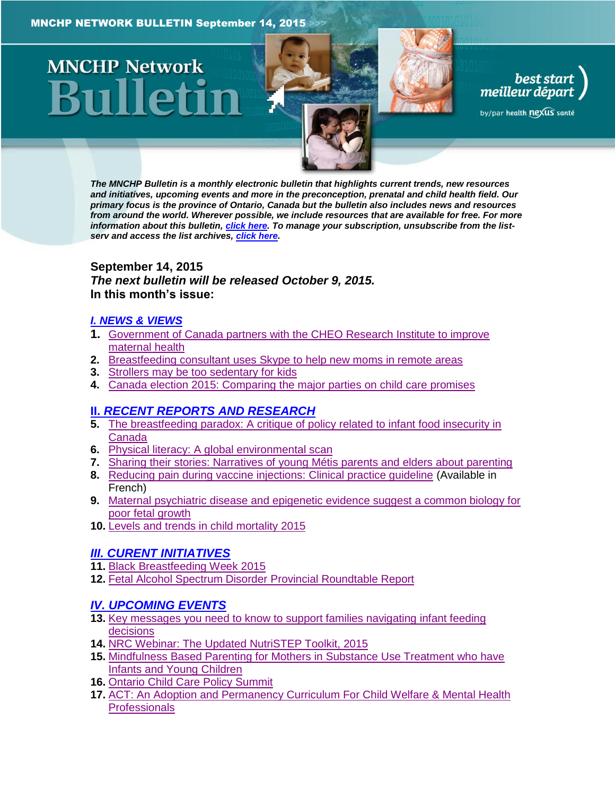# **MNCHP Network**

best start<br>| best start<br>| meilleur départ

by/par health nexus santé

*The MNCHP Bulletin is a monthly electronic bulletin that highlights current trends, new resources and initiatives, upcoming events and more in the preconception, prenatal and child health field. Our primary focus is the province of Ontario, Canada but the bulletin also includes news and resources from around the world. Wherever possible, we include resources that are available for free. For more information about this bulletin[, click here.](#page-14-0) To manage your subscription, unsubscribe from the listserv and access the list archives, [click here.](http://beststart.org/services/information.html)* 

# <span id="page-0-0"></span>**September 14, 2015** *The next bulletin will be released October 9, 2015.* **In this month's issue:**

# *[I. NEWS & VIEWS](#page-1-0)*

- **1.** [Government of Canada partners with the CHEO Research Institute to improve](#page-1-1)  [maternal health](#page-1-1)
- **2.** [Breastfeeding consultant uses Skype to help new moms in remote areas](#page-1-2)
- **3.** [Strollers may be too sedentary for kids](#page-2-0)
- **4.** [Canada election 2015: Comparing the major parties on child care promises](#page-2-1)

# **II.** *[RECENT REPORTS AND RESEARCH](#page-2-2)*

- **5.** [The breastfeeding paradox: A critique of policy related to infant food insecurity in](#page-3-0)  [Canada](#page-3-0)
- **6.** [Physical literacy: A global environmental scan](#page-3-1)
- **7.** [Sharing their stories: Narratives of young Métis parents and elders about parenting](#page-4-0)
- **8.** [Reducing pain during vaccine injections: Clinical practice guideline](#page-5-0) (Available in French)
- **9.** [Maternal psychiatric disease and epigenetic evidence suggest a common biology for](#page-5-1)  [poor fetal growth](#page-5-1)
- **10.** [Levels and trends in child mortality 2015](#page-6-0)

# *[III. CURENT INITIATIVES](#page-7-0)*

- **11.** [Black Breastfeeding Week 2015](#page-7-1)
- **12.** [Fetal Alcohol Spectrum Disorder Provincial Roundtable Report](#page-7-2)

# *[IV. UPCOMING EVENTS](#page-8-0)*

- **13.** [Key messages you need to know to support families navigating infant feeding](#page-8-1)  [decisions](#page-8-1)
- **14.** [NRC Webinar: The Updated NutriSTEP Toolkit, 2015](#page-8-2)
- **15.** [Mindfulness Based Parenting for Mothers in Substance Use Treatment who have](#page-9-0)  [Infants and Young Children](#page-9-0)
- **16.** [Ontario Child Care Policy Summit](#page-9-1)
- **17.** [ACT: An Adoption and Permanency Curriculum For Child Welfare & Mental Health](#page-9-2)  **[Professionals](#page-9-2)**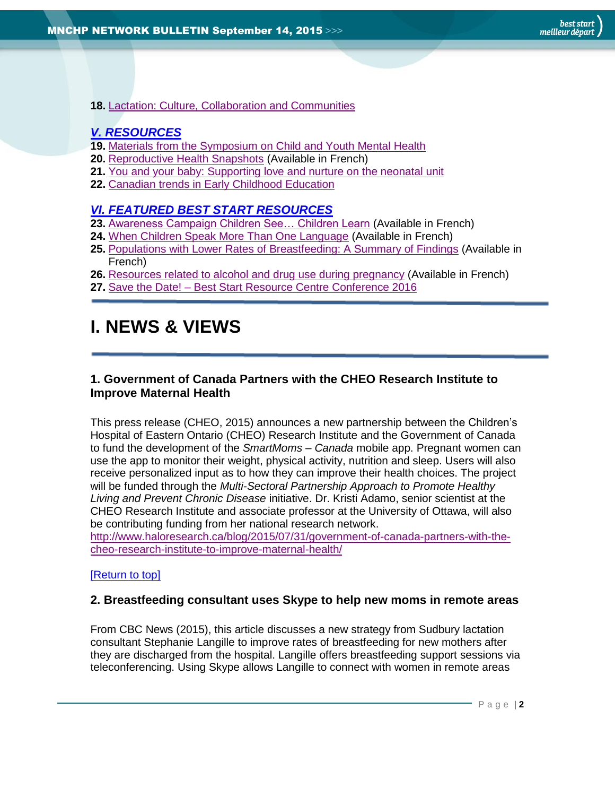**18.** [Lactation: Culture, Collaboration and Communities](#page-10-0)

# *[V. RESOURCES](#page-10-1)*

- **19.** [Materials from the Symposium on Child and Youth Mental Health](#page-10-2)
- **20.** [Reproductive Health Snapshots](#page-10-3) (Available in French)
- **21.** [You and your baby: Supporting love and nurture on the neonatal unit](#page-11-0)
- **22.** [Canadian trends in Early Childhood Education](#page-11-1)

# *[VI. FEATURED BEST START RESOURCES](#page-11-2)*

- **23.** [Awareness Campaign Children See… Children Learn](#page-12-0) (Available in French)
- **24.** [When Children Speak More Than One Language](#page-12-1) (Available in French)
- **25.** [Populations with Lower Rates of Breastfeeding: A Summary of Findings](#page-12-2) (Available in French)
- **26.** [Resources related to alcohol and drug use during pregnancy](#page-13-0) (Available in French)
- **27.** Save the Date! [Best Start Resource Centre Conference 2016](#page-13-1)

# <span id="page-1-0"></span>**I. NEWS & VIEWS**

# <span id="page-1-1"></span>**1. Government of Canada Partners with the CHEO Research Institute to Improve Maternal Health**

This press release (CHEO, 2015) announces a new partnership between the Children's Hospital of Eastern Ontario (CHEO) Research Institute and the Government of Canada to fund the development of the *SmartMoms – Canada* mobile app. Pregnant women can use the app to monitor their weight, physical activity, nutrition and sleep. Users will also receive personalized input as to how they can improve their health choices. The project will be funded through the *Multi-Sectoral Partnership Approach to Promote Healthy Living and Prevent Chronic Disease* initiative. Dr. Kristi Adamo, senior scientist at the CHEO Research Institute and associate professor at the University of Ottawa, will also be contributing funding from her national research network.

[http://www.haloresearch.ca/blog/2015/07/31/government-of-canada-partners-with-the](http://www.haloresearch.ca/blog/2015/07/31/government-of-canada-partners-with-the-cheo-research-institute-to-improve-maternal-health/)[cheo-research-institute-to-improve-maternal-health/](http://www.haloresearch.ca/blog/2015/07/31/government-of-canada-partners-with-the-cheo-research-institute-to-improve-maternal-health/)

# <span id="page-1-2"></span>[\[Return to top\]](#page-0-0)

# **2. Breastfeeding consultant uses Skype to help new moms in remote areas**

From CBC News (2015), this article discusses a new strategy from Sudbury lactation consultant Stephanie Langille to improve rates of breastfeeding for new mothers after they are discharged from the hospital. Langille offers breastfeeding support sessions via teleconferencing. Using Skype allows Langille to connect with women in remote areas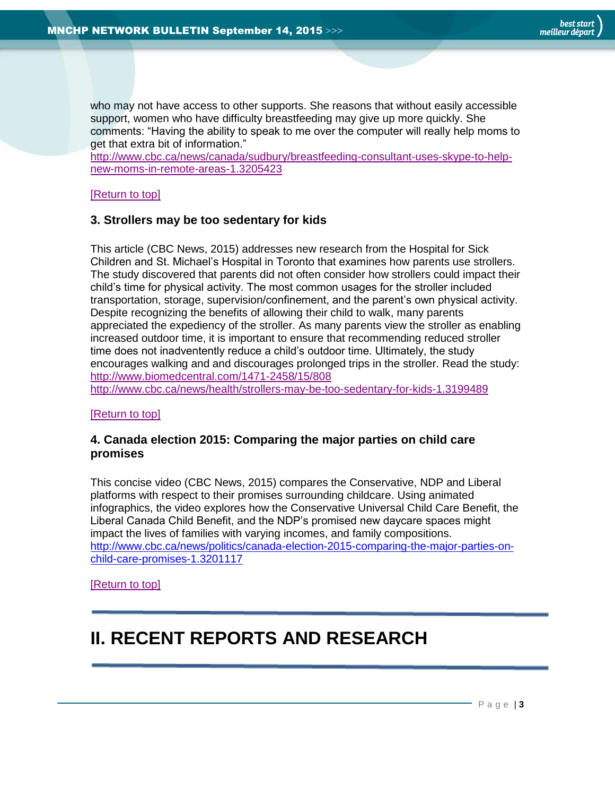who may not have access to other supports. She reasons that without easily accessible support, women who have difficulty breastfeeding may give up more quickly. She comments: "Having the ability to speak to me over the computer will really help moms to get that extra bit of information."

[http://www.cbc.ca/news/canada/sudbury/breastfeeding-consultant-uses-skype-to-help](http://www.cbc.ca/news/canada/sudbury/breastfeeding-consultant-uses-skype-to-help-new-moms-in-remote-areas-1.3205423)[new-moms-in-remote-areas-1.3205423](http://www.cbc.ca/news/canada/sudbury/breastfeeding-consultant-uses-skype-to-help-new-moms-in-remote-areas-1.3205423)

<span id="page-2-0"></span>[\[Return to top\]](#page-0-0)

# **3. Strollers may be too sedentary for kids**

This article (CBC News, 2015) addresses new research from the Hospital for Sick Children and St. Michael's Hospital in Toronto that examines how parents use strollers. The study discovered that parents did not often consider how strollers could impact their child's time for physical activity. The most common usages for the stroller included transportation, storage, supervision/confinement, and the parent's own physical activity. Despite recognizing the benefits of allowing their child to walk, many parents appreciated the expediency of the stroller. As many parents view the stroller as enabling increased outdoor time, it is important to ensure that recommending reduced stroller time does not inadventently reduce a child's outdoor time. Ultimately, the study encourages walking and and discourages prolonged trips in the stroller. Read the study: <http://www.biomedcentral.com/1471-2458/15/808> <http://www.cbc.ca/news/health/strollers-may-be-too-sedentary-for-kids-1.3199489>

[\[Return to top\]](#page-0-0)

# <span id="page-2-1"></span>**4. Canada election 2015: Comparing the major parties on child care promises**

This concise video (CBC News, 2015) compares the Conservative, NDP and Liberal platforms with respect to their promises surrounding childcare. Using animated infographics, the video explores how the Conservative Universal Child Care Benefit, the Liberal Canada Child Benefit, and the NDP's promised new daycare spaces might impact the lives of families with varying incomes, and family compositions. [http://www.cbc.ca/news/politics/canada-election-2015-comparing-the-major-parties-on](http://www.cbc.ca/news/politics/canada-election-2015-comparing-the-major-parties-on-child-care-promises-1.3201117)[child-care-promises-1.3201117](http://www.cbc.ca/news/politics/canada-election-2015-comparing-the-major-parties-on-child-care-promises-1.3201117)

[\[Return to top\]](#page-0-0)

# <span id="page-2-2"></span>**II. RECENT REPORTS AND RESEARCH**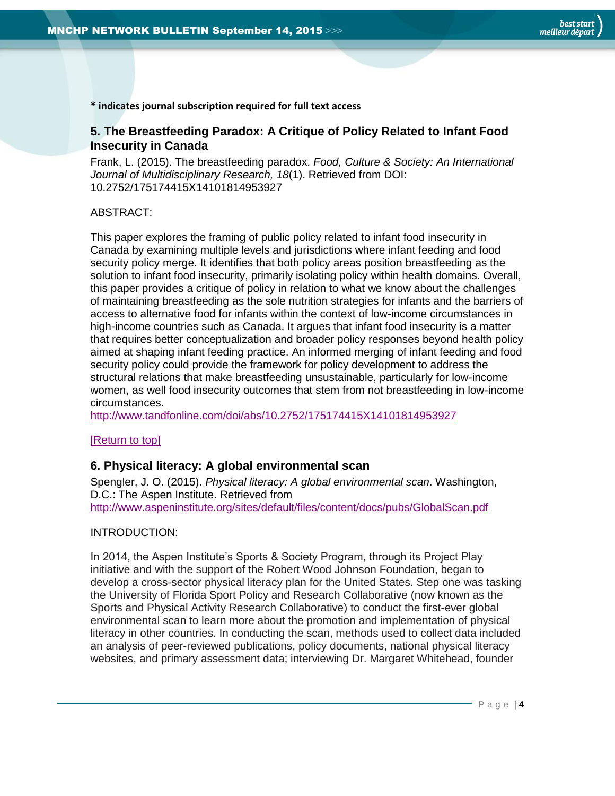**\* indicates journal subscription required for full text access**

# <span id="page-3-0"></span>**5. The Breastfeeding Paradox: A Critique of Policy Related to Infant Food Insecurity in Canada**

Frank, L. (2015). The breastfeeding paradox. *Food, Culture & Society: An International Journal of Multidisciplinary Research, 18*(1). Retrieved from DOI: 10.2752/175174415X14101814953927

# ABSTRACT:

This paper explores the framing of public policy related to infant food insecurity in Canada by examining multiple levels and jurisdictions where infant feeding and food security policy merge. It identifies that both policy areas position breastfeeding as the solution to infant food insecurity, primarily isolating policy within health domains. Overall, this paper provides a critique of policy in relation to what we know about the challenges of maintaining breastfeeding as the sole nutrition strategies for infants and the barriers of access to alternative food for infants within the context of low-income circumstances in high-income countries such as Canada. It argues that infant food insecurity is a matter that requires better conceptualization and broader policy responses beyond health policy aimed at shaping infant feeding practice. An informed merging of infant feeding and food security policy could provide the framework for policy development to address the structural relations that make breastfeeding unsustainable, particularly for low-income women, as well food insecurity outcomes that stem from not breastfeeding in low-income circumstances.

<http://www.tandfonline.com/doi/abs/10.2752/175174415X14101814953927>

# <span id="page-3-1"></span>[\[Return to top\]](#page-0-0)

# **6. Physical literacy: A global environmental scan**

Spengler, J. O. (2015). *Physical literacy: A global environmental scan*. Washington, D.C.: The Aspen Institute. Retrieved from <http://www.aspeninstitute.org/sites/default/files/content/docs/pubs/GlobalScan.pdf>

#### INTRODUCTION:

In 2014, the Aspen Institute's Sports & Society Program, through its Project Play initiative and with the support of the Robert Wood Johnson Foundation, began to develop a cross-sector physical literacy plan for the United States. Step one was tasking the University of Florida Sport Policy and Research Collaborative (now known as the Sports and Physical Activity Research Collaborative) to conduct the first-ever global environmental scan to learn more about the promotion and implementation of physical literacy in other countries. In conducting the scan, methods used to collect data included an analysis of peer-reviewed publications, policy documents, national physical literacy websites, and primary assessment data; interviewing Dr. Margaret Whitehead, founder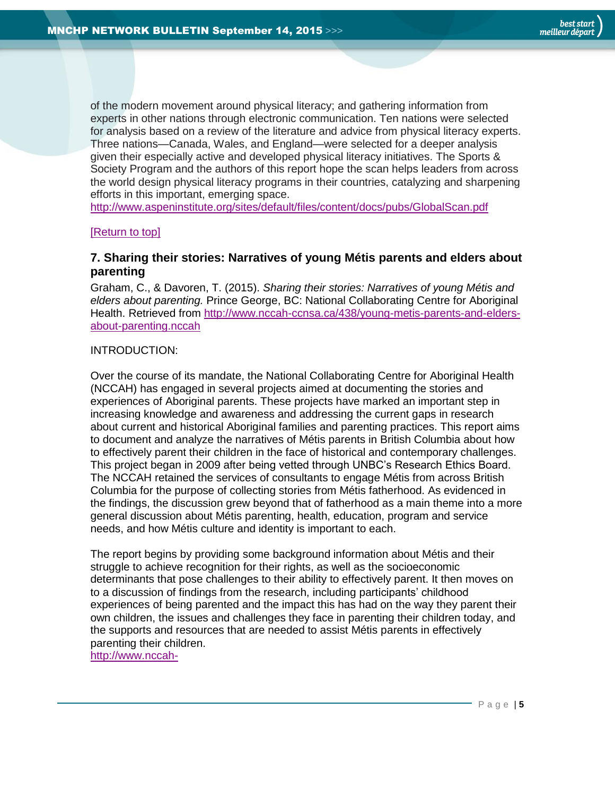of the modern movement around physical literacy; and gathering information from experts in other nations through electronic communication. Ten nations were selected for analysis based on a review of the literature and advice from physical literacy experts. Three nations—Canada, Wales, and England—were selected for a deeper analysis given their especially active and developed physical literacy initiatives. The Sports & Society Program and the authors of this report hope the scan helps leaders from across the world design physical literacy programs in their countries, catalyzing and sharpening efforts in this important, emerging space.

<http://www.aspeninstitute.org/sites/default/files/content/docs/pubs/GlobalScan.pdf>

#### <span id="page-4-0"></span>[\[Return to top\]](#page-0-0)

# **7. Sharing their stories: Narratives of young Métis parents and elders about parenting**

Graham, C., & Davoren, T. (2015). *Sharing their stories: Narratives of young Métis and elders about parenting.* Prince George, BC: National Collaborating Centre for Aboriginal Health. Retrieved from [http://www.nccah-ccnsa.ca/438/young-metis-parents-and-elders](http://www.nccah-ccnsa.ca/438/young-metis-parents-and-elders-about-parenting.nccah)[about-parenting.nccah](http://www.nccah-ccnsa.ca/438/young-metis-parents-and-elders-about-parenting.nccah)

#### INTRODUCTION:

Over the course of its mandate, the National Collaborating Centre for Aboriginal Health (NCCAH) has engaged in several projects aimed at documenting the stories and experiences of Aboriginal parents. These projects have marked an important step in increasing knowledge and awareness and addressing the current gaps in research about current and historical Aboriginal families and parenting practices. This report aims to document and analyze the narratives of Métis parents in British Columbia about how to effectively parent their children in the face of historical and contemporary challenges. This project began in 2009 after being vetted through UNBC's Research Ethics Board. The NCCAH retained the services of consultants to engage Métis from across British Columbia for the purpose of collecting stories from Métis fatherhood. As evidenced in the findings, the discussion grew beyond that of fatherhood as a main theme into a more general discussion about Métis parenting, health, education, program and service needs, and how Métis culture and identity is important to each.

The report begins by providing some background information about Métis and their struggle to achieve recognition for their rights, as well as the socioeconomic determinants that pose challenges to their ability to effectively parent. It then moves on to a discussion of findings from the research, including participants' childhood experiences of being parented and the impact this has had on the way they parent their own children, the issues and challenges they face in parenting their children today, and the supports and resources that are needed to assist Métis parents in effectively parenting their children.

[http://www.nccah-](http://www.nccah-ccnsa.ca/Publications/Lists/Publications/Attachments/149/2015_08_17_RPT_MetisSharingStories_DavorenGraham_EN_Web.pdf)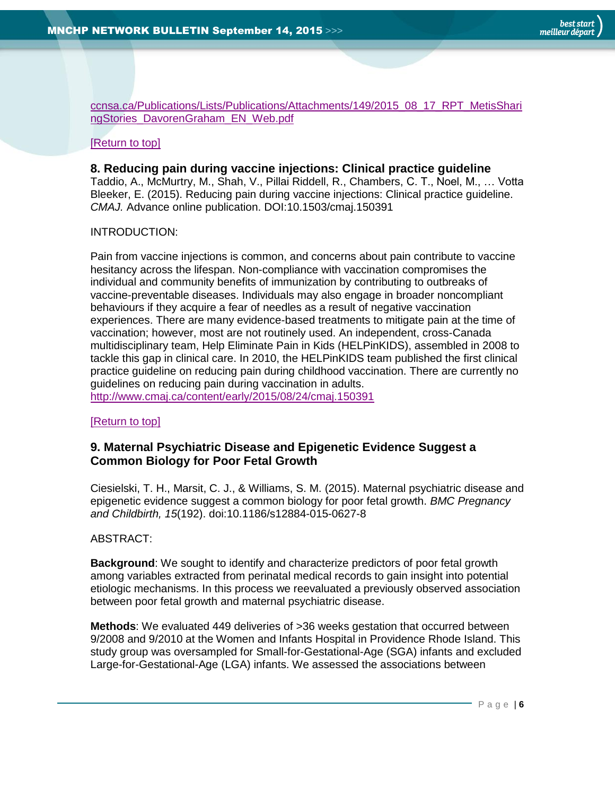[ccnsa.ca/Publications/Lists/Publications/Attachments/149/2015\\_08\\_17\\_RPT\\_MetisShari](http://www.nccah-ccnsa.ca/Publications/Lists/Publications/Attachments/149/2015_08_17_RPT_MetisSharingStories_DavorenGraham_EN_Web.pdf) [ngStories\\_DavorenGraham\\_EN\\_Web.pdf](http://www.nccah-ccnsa.ca/Publications/Lists/Publications/Attachments/149/2015_08_17_RPT_MetisSharingStories_DavorenGraham_EN_Web.pdf)

#### <span id="page-5-0"></span>[\[Return to top\]](#page-0-0)

#### **8. Reducing pain during vaccine injections: Clinical practice guideline**

Taddio, A., McMurtry, M., Shah, V., Pillai Riddell, R., Chambers, C. T., Noel, M., … Votta Bleeker, E. (2015). Reducing pain during vaccine injections: Clinical practice guideline. *CMAJ.* Advance online publication. DOI:10.1503/cmaj.150391

#### INTRODUCTION:

Pain from vaccine injections is common, and concerns about pain contribute to vaccine hesitancy across the lifespan. Non-compliance with vaccination compromises the individual and community benefits of immunization by contributing to outbreaks of vaccine-preventable diseases. Individuals may also engage in broader noncompliant behaviours if they acquire a fear of needles as a result of negative vaccination experiences. There are many evidence-based treatments to mitigate pain at the time of vaccination; however, most are not routinely used. An independent, cross-Canada multidisciplinary team, Help Eliminate Pain in Kids (HELPinKIDS), assembled in 2008 to tackle this gap in clinical care. In 2010, the HELPinKIDS team published the first clinical practice guideline on reducing pain during childhood vaccination. There are currently no guidelines on reducing pain during vaccination in adults. <http://www.cmaj.ca/content/early/2015/08/24/cmaj.150391>

#### [\[Return to top\]](#page-0-0)

# <span id="page-5-1"></span>**9. Maternal Psychiatric Disease and Epigenetic Evidence Suggest a Common Biology for Poor Fetal Growth**

Ciesielski, T. H., Marsit, C. J., & Williams, S. M. (2015). Maternal psychiatric disease and epigenetic evidence suggest a common biology for poor fetal growth. *BMC Pregnancy and Childbirth, 15*(192). doi:10.1186/s12884-015-0627-8

#### ABSTRACT:

**Background**: We sought to identify and characterize predictors of poor fetal growth among variables extracted from perinatal medical records to gain insight into potential etiologic mechanisms. In this process we reevaluated a previously observed association between poor fetal growth and maternal psychiatric disease.

**Methods**: We evaluated 449 deliveries of >36 weeks gestation that occurred between 9/2008 and 9/2010 at the Women and Infants Hospital in Providence Rhode Island. This study group was oversampled for Small-for-Gestational-Age (SGA) infants and excluded Large-for-Gestational-Age (LGA) infants. We assessed the associations between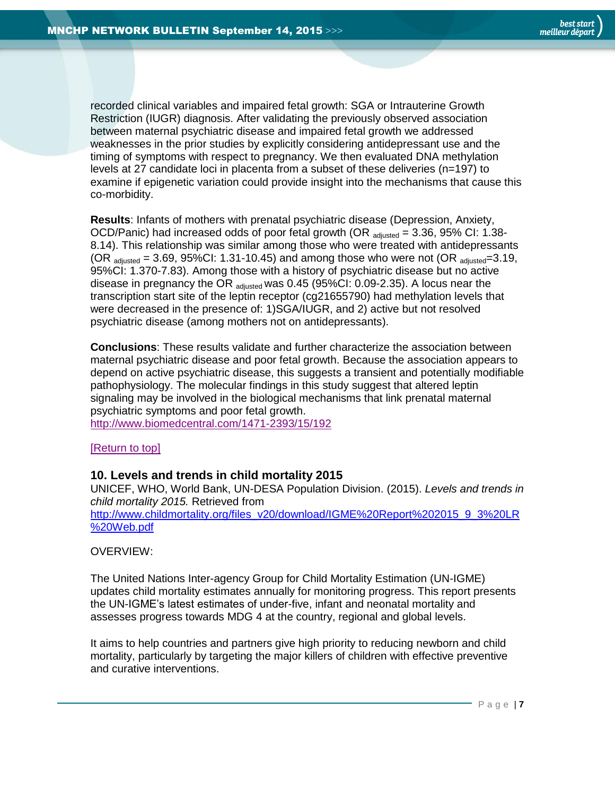recorded clinical variables and impaired fetal growth: SGA or Intrauterine Growth Restriction (IUGR) diagnosis. After validating the previously observed association between maternal psychiatric disease and impaired fetal growth we addressed weaknesses in the prior studies by explicitly considering antidepressant use and the timing of symptoms with respect to pregnancy. We then evaluated DNA methylation levels at 27 candidate loci in placenta from a subset of these deliveries (n=197) to examine if epigenetic variation could provide insight into the mechanisms that cause this co-morbidity.

**Results**: Infants of mothers with prenatal psychiatric disease (Depression, Anxiety, OCD/Panic) had increased odds of poor fetal growth (OR  $_{\text{adjusted}}$  = 3.36, 95% CI: 1.38-8.14). This relationship was similar among those who were treated with antidepressants (OR  $_{\text{adiusted}}$  = 3.69, 95%CI: 1.31-10.45) and among those who were not (OR  $_{\text{adiusted}}$ =3.19, 95%CI: 1.370-7.83). Among those with a history of psychiatric disease but no active disease in pregnancy the OR adjusted Was 0.45 (95%CI: 0.09-2.35). A locus near the transcription start site of the leptin receptor (cg21655790) had methylation levels that were decreased in the presence of: 1)SGA/IUGR, and 2) active but not resolved psychiatric disease (among mothers not on antidepressants).

**Conclusions**: These results validate and further characterize the association between maternal psychiatric disease and poor fetal growth. Because the association appears to depend on active psychiatric disease, this suggests a transient and potentially modifiable pathophysiology. The molecular findings in this study suggest that altered leptin signaling may be involved in the biological mechanisms that link prenatal maternal psychiatric symptoms and poor fetal growth.

<http://www.biomedcentral.com/1471-2393/15/192>

#### [\[Return to top\]](#page-0-0)

# <span id="page-6-0"></span>**10. Levels and trends in child mortality 2015**

UNICEF, WHO, World Bank, UN-DESA Population Division. (2015). *Levels and trends in child mortality 2015.* Retrieved from [http://www.childmortality.org/files\\_v20/download/IGME%20Report%202015\\_9\\_3%20LR](http://www.childmortality.org/files_v20/download/IGME%20Report%202015_9_3%20LR%20Web.pdf) [%20Web.pdf](http://www.childmortality.org/files_v20/download/IGME%20Report%202015_9_3%20LR%20Web.pdf)

OVERVIEW:

The United Nations Inter-agency Group for Child Mortality Estimation (UN-IGME) updates child mortality estimates annually for monitoring progress. This report presents the UN-IGME's latest estimates of under-five, infant and neonatal mortality and assesses progress towards MDG 4 at the country, regional and global levels.

It aims to help countries and partners give high priority to reducing newborn and child mortality, particularly by targeting the major killers of children with effective preventive and curative interventions.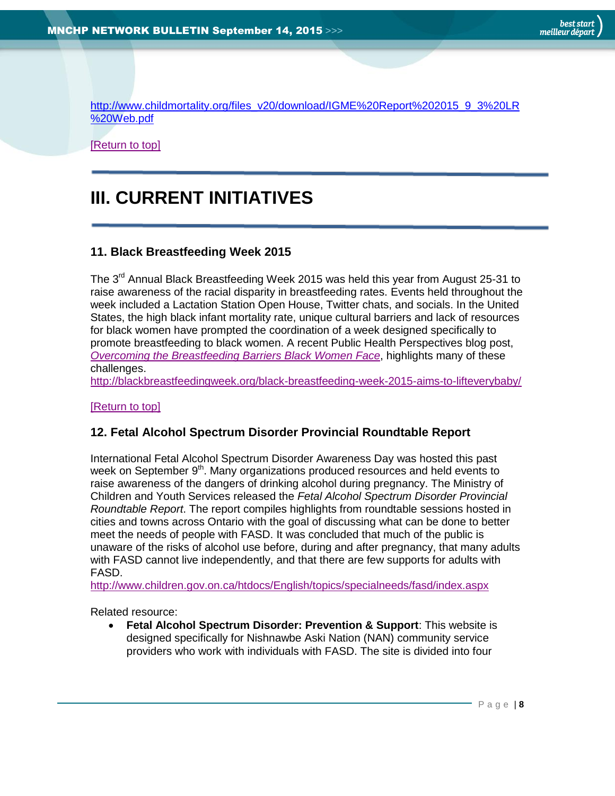[http://www.childmortality.org/files\\_v20/download/IGME%20Report%202015\\_9\\_3%20LR](http://www.childmortality.org/files_v20/download/IGME%20Report%202015_9_3%20LR%20Web.pdf) [%20Web.pdf](http://www.childmortality.org/files_v20/download/IGME%20Report%202015_9_3%20LR%20Web.pdf)

[\[Return to top\]](#page-0-0)

# <span id="page-7-0"></span>**III. CURRENT INITIATIVES**

# <span id="page-7-1"></span>**11. Black Breastfeeding Week 2015**

The 3<sup>rd</sup> Annual Black Breastfeeding Week 2015 was held this year from August 25-31 to raise awareness of the racial disparity in breastfeeding rates. Events held throughout the week included a Lactation Station Open House, Twitter chats, and socials. In the United States, the high black infant mortality rate, unique cultural barriers and lack of resources for black women have prompted the coordination of a week designed specifically to promote breastfeeding to black women. A recent Public Health Perspectives blog post, *[Overcoming the Breastfeeding Barriers Black Women Face](http://blogs.plos.org/publichealth/2015/08/30/overcoming-the-breastfeeding-barriers-black-women-face/)*, highlights many of these challenges.

<http://blackbreastfeedingweek.org/black-breastfeeding-week-2015-aims-to-lifteverybaby/>

#### [\[Return to top\]](#page-0-0)

#### <span id="page-7-2"></span>**12. Fetal Alcohol Spectrum Disorder Provincial Roundtable Report**

International Fetal Alcohol Spectrum Disorder Awareness Day was hosted this past week on September 9<sup>th</sup>. Many organizations produced resources and held events to raise awareness of the dangers of drinking alcohol during pregnancy. The Ministry of Children and Youth Services released the *Fetal Alcohol Spectrum Disorder Provincial Roundtable Report*. The report compiles highlights from roundtable sessions hosted in cities and towns across Ontario with the goal of discussing what can be done to better meet the needs of people with FASD. It was concluded that much of the public is unaware of the risks of alcohol use before, during and after pregnancy, that many adults with FASD cannot live independently, and that there are few supports for adults with FASD.

<http://www.children.gov.on.ca/htdocs/English/topics/specialneeds/fasd/index.aspx>

Related resource:

 **Fetal Alcohol Spectrum Disorder: Prevention & Support**: This website is designed specifically for Nishnawbe Aski Nation (NAN) community service providers who work with individuals with FASD. The site is divided into four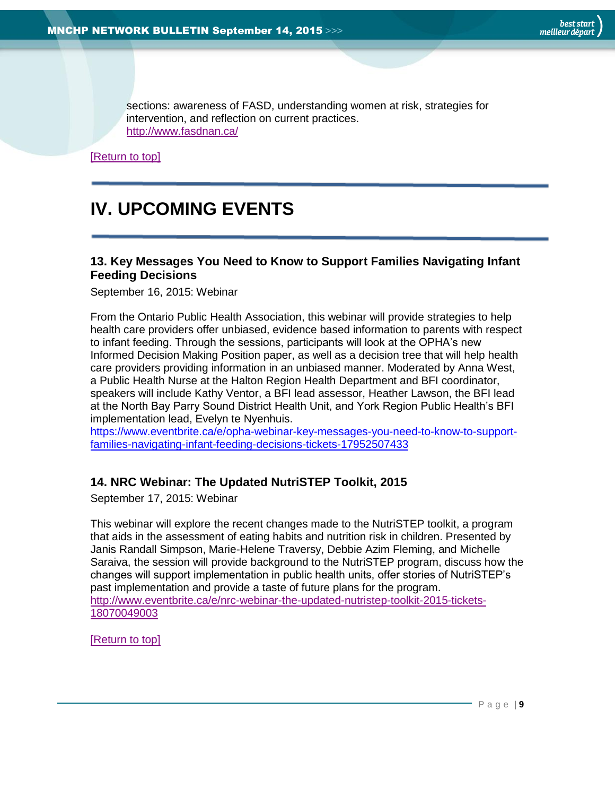<span id="page-8-0"></span>sections: awareness of FASD, understanding women at risk, strategies for intervention, and reflection on current practices. <http://www.fasdnan.ca/>

[\[Return to top\]](#page-0-0)

# **IV. UPCOMING EVENTS**

# <span id="page-8-1"></span>**13. Key Messages You Need to Know to Support Families Navigating Infant Feeding Decisions**

September 16, 2015: Webinar

From the Ontario Public Health Association, this webinar will provide strategies to help health care providers offer unbiased, evidence based information to parents with respect to infant feeding. Through the sessions, participants will look at the OPHA's new Informed Decision Making Position paper, as well as a decision tree that will help health care providers providing information in an unbiased manner. Moderated by Anna West, a Public Health Nurse at the Halton Region Health Department and BFI coordinator, speakers will include Kathy Ventor, a BFI lead assessor, Heather Lawson, the BFI lead at the North Bay Parry Sound District Health Unit, and York Region Public Health's BFI implementation lead, Evelyn te Nyenhuis.

[https://www.eventbrite.ca/e/opha-webinar-key-messages-you-need-to-know-to-support](https://www.eventbrite.ca/e/opha-webinar-key-messages-you-need-to-know-to-support-families-navigating-infant-feeding-decisions-tickets-17952507433)[families-navigating-infant-feeding-decisions-tickets-17952507433](https://www.eventbrite.ca/e/opha-webinar-key-messages-you-need-to-know-to-support-families-navigating-infant-feeding-decisions-tickets-17952507433)

# <span id="page-8-2"></span>**14. NRC Webinar: The Updated NutriSTEP Toolkit, 2015**

September 17, 2015: Webinar

This webinar will explore the recent changes made to the NutriSTEP toolkit, a program that aids in the assessment of eating habits and nutrition risk in children. Presented by Janis Randall Simpson, Marie-Helene Traversy, Debbie Azim Fleming, and Michelle Saraiva, the session will provide background to the NutriSTEP program, discuss how the changes will support implementation in public health units, offer stories of NutriSTEP's past implementation and provide a taste of future plans for the program. [http://www.eventbrite.ca/e/nrc-webinar-the-updated-nutristep-toolkit-2015-tickets-](http://www.eventbrite.ca/e/nrc-webinar-the-updated-nutristep-toolkit-2015-tickets-18070049003)[18070049003](http://www.eventbrite.ca/e/nrc-webinar-the-updated-nutristep-toolkit-2015-tickets-18070049003)

[\[Return to top\]](#page-0-0)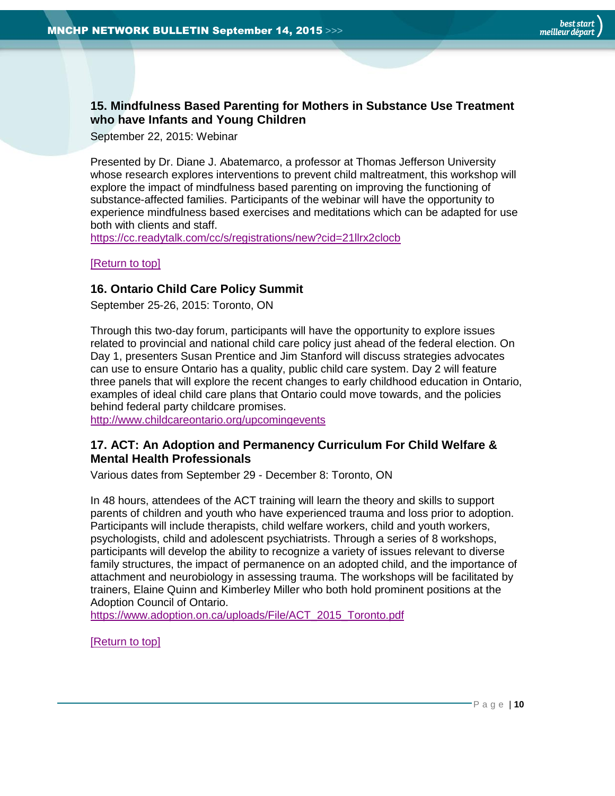# <span id="page-9-0"></span>**15. Mindfulness Based Parenting for Mothers in Substance Use Treatment who have Infants and Young Children**

September 22, 2015: Webinar

Presented by Dr. Diane J. Abatemarco, a professor at Thomas Jefferson University whose research explores interventions to prevent child maltreatment, this workshop will explore the impact of mindfulness based parenting on improving the functioning of substance-affected families. Participants of the webinar will have the opportunity to experience mindfulness based exercises and meditations which can be adapted for use both with clients and staff.

<https://cc.readytalk.com/cc/s/registrations/new?cid=21llrx2clocb>

#### <span id="page-9-1"></span>[\[Return to top\]](#page-0-0)

# **16. Ontario Child Care Policy Summit**

September 25-26, 2015: Toronto, ON

Through this two-day forum, participants will have the opportunity to explore issues related to provincial and national child care policy just ahead of the federal election. On Day 1, presenters Susan Prentice and Jim Stanford will discuss strategies advocates can use to ensure Ontario has a quality, public child care system. Day 2 will feature three panels that will explore the recent changes to early childhood education in Ontario, examples of ideal child care plans that Ontario could move towards, and the policies behind federal party childcare promises.

<span id="page-9-2"></span><http://www.childcareontario.org/upcomingevents>

# **17. ACT: An Adoption and Permanency Curriculum For Child Welfare & Mental Health Professionals**

Various dates from September 29 - December 8: Toronto, ON

In 48 hours, attendees of the ACT training will learn the theory and skills to support parents of children and youth who have experienced trauma and loss prior to adoption. Participants will include therapists, child welfare workers, child and youth workers, psychologists, child and adolescent psychiatrists. Through a series of 8 workshops, participants will develop the ability to recognize a variety of issues relevant to diverse family structures, the impact of permanence on an adopted child, and the importance of attachment and neurobiology in assessing trauma. The workshops will be facilitated by trainers, Elaine Quinn and Kimberley Miller who both hold prominent positions at the Adoption Council of Ontario.

[https://www.adoption.on.ca/uploads/File/ACT\\_2015\\_Toronto.pdf](https://www.adoption.on.ca/uploads/File/ACT_2015_Toronto.pdf)

[\[Return to top\]](#page-0-0)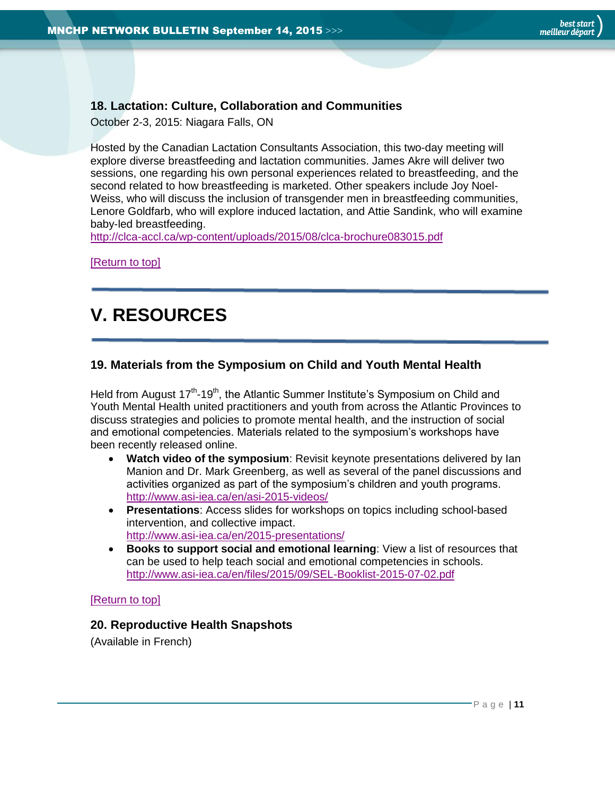# <span id="page-10-0"></span>**18. Lactation: Culture, Collaboration and Communities**

October 2-3, 2015: Niagara Falls, ON

Hosted by the Canadian Lactation Consultants Association, this two-day meeting will explore diverse breastfeeding and lactation communities. James Akre will deliver two sessions, one regarding his own personal experiences related to breastfeeding, and the second related to how breastfeeding is marketed. Other speakers include Joy Noel-Weiss, who will discuss the inclusion of transgender men in breastfeeding communities, Lenore Goldfarb, who will explore induced lactation, and Attie Sandink, who will examine baby-led breastfeeding.

<http://clca-accl.ca/wp-content/uploads/2015/08/clca-brochure083015.pdf>

[\[Return to top\]](#page-0-0)

# <span id="page-10-1"></span>**V. RESOURCES**

# <span id="page-10-2"></span>**19. Materials from the Symposium on Child and Youth Mental Health**

Held from August 17<sup>th</sup>-19<sup>th</sup>, the Atlantic Summer Institute's Symposium on Child and Youth Mental Health united practitioners and youth from across the Atlantic Provinces to discuss strategies and policies to promote mental health, and the instruction of social and emotional competencies. Materials related to the symposium's workshops have been recently released online.

- **Watch video of the symposium**: Revisit keynote presentations delivered by Ian Manion and Dr. Mark Greenberg, as well as several of the panel discussions and activities organized as part of the symposium's children and youth programs. <http://www.asi-iea.ca/en/asi-2015-videos/>
- **Presentations**: Access slides for workshops on topics including school-based intervention, and collective impact. <http://www.asi-iea.ca/en/2015-presentations/>
- **Books to support social and emotional learning**: View a list of resources that can be used to help teach social and emotional competencies in schools. <http://www.asi-iea.ca/en/files/2015/09/SEL-Booklist-2015-07-02.pdf>

<span id="page-10-3"></span>[\[Return to top\]](#page-0-0)

# **20. Reproductive Health Snapshots**

(Available in French)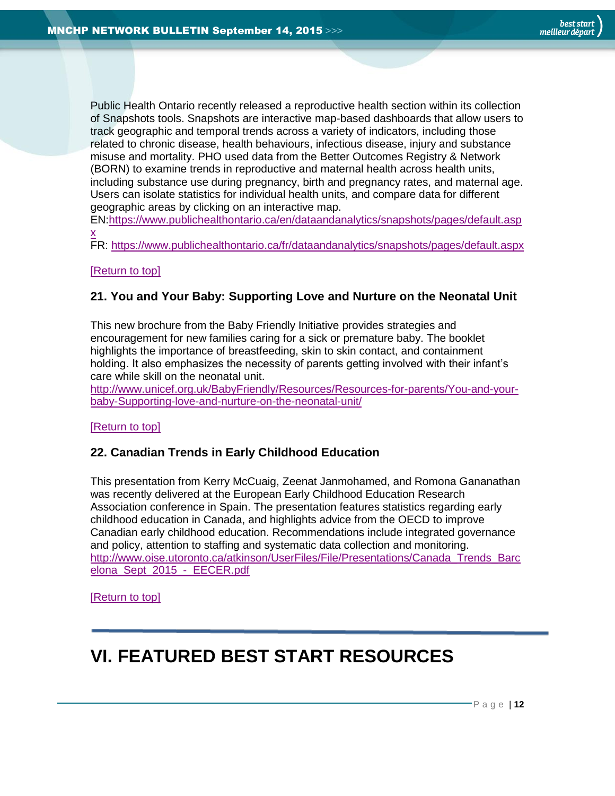Public Health Ontario recently released a reproductive health section within its collection of Snapshots tools. Snapshots are interactive map-based dashboards that allow users to track geographic and temporal trends across a variety of indicators, including those related to chronic disease, health behaviours, infectious disease, injury and substance misuse and mortality. PHO used data from the Better Outcomes Registry & Network (BORN) to examine trends in reproductive and maternal health across health units, including substance use during pregnancy, birth and pregnancy rates, and maternal age. Users can isolate statistics for individual health units, and compare data for different geographic areas by clicking on an interactive map.

EN[:https://www.publichealthontario.ca/en/dataandanalytics/snapshots/pages/default.asp](https://www.publichealthontario.ca/en/dataandanalytics/snapshots/pages/default.aspx) [x](https://www.publichealthontario.ca/en/dataandanalytics/snapshots/pages/default.aspx)

FR:<https://www.publichealthontario.ca/fr/dataandanalytics/snapshots/pages/default.aspx>

#### <span id="page-11-0"></span>[\[Return to top\]](#page-0-0)

# **21. You and Your Baby: Supporting Love and Nurture on the Neonatal Unit**

This new brochure from the Baby Friendly Initiative provides strategies and encouragement for new families caring for a sick or premature baby. The booklet highlights the importance of breastfeeding, skin to skin contact, and containment holding. It also emphasizes the necessity of parents getting involved with their infant's care while skill on the neonatal unit.

[http://www.unicef.org.uk/BabyFriendly/Resources/Resources-for-parents/You-and-your](http://www.unicef.org.uk/BabyFriendly/Resources/Resources-for-parents/You-and-your-baby-Supporting-love-and-nurture-on-the-neonatal-unit/)[baby-Supporting-love-and-nurture-on-the-neonatal-unit/](http://www.unicef.org.uk/BabyFriendly/Resources/Resources-for-parents/You-and-your-baby-Supporting-love-and-nurture-on-the-neonatal-unit/)

#### <span id="page-11-1"></span>[\[Return to top\]](#page-0-0)

# **22. Canadian Trends in Early Childhood Education**

This presentation from Kerry McCuaig, Zeenat Janmohamed, and Romona Gananathan was recently delivered at the European Early Childhood Education Research Association conference in Spain. The presentation features statistics regarding early childhood education in Canada, and highlights advice from the OECD to improve Canadian early childhood education. Recommendations include integrated governance and policy, attention to staffing and systematic data collection and monitoring. [http://www.oise.utoronto.ca/atkinson/UserFiles/File/Presentations/Canada\\_Trends\\_Barc](http://www.oise.utoronto.ca/atkinson/UserFiles/File/Presentations/Canada_Trends_Barcelona_Sept_2015_-_EECER.pdf) [elona\\_Sept\\_2015\\_-\\_EECER.pdf](http://www.oise.utoronto.ca/atkinson/UserFiles/File/Presentations/Canada_Trends_Barcelona_Sept_2015_-_EECER.pdf)

[\[Return to top\]](#page-0-0)

# <span id="page-11-2"></span>**VI. FEATURED BEST START RESOURCES**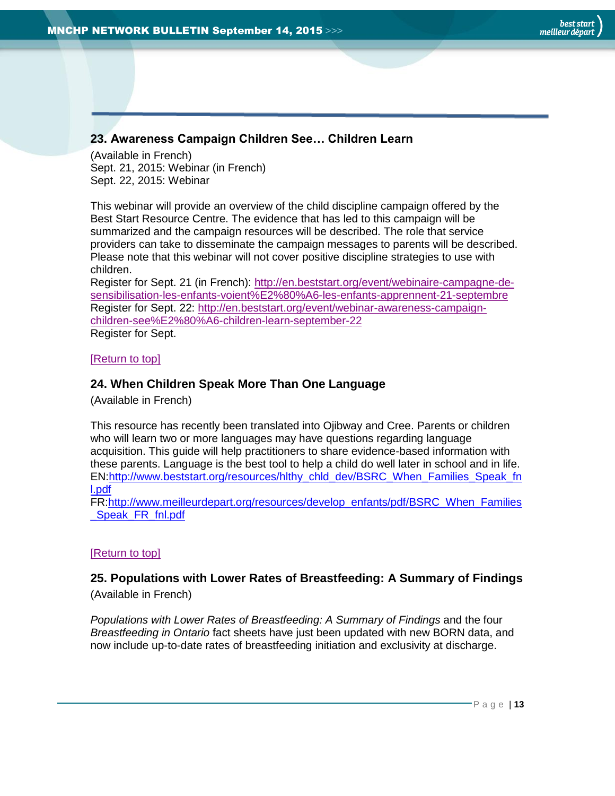# <span id="page-12-0"></span>**23. Awareness Campaign Children See… Children Learn**

(Available in French) Sept. 21, 2015: Webinar (in French) Sept. 22, 2015: Webinar

This webinar will provide an overview of the child discipline campaign offered by the Best Start Resource Centre. The evidence that has led to this campaign will be summarized and the campaign resources will be described. The role that service providers can take to disseminate the campaign messages to parents will be described. Please note that this webinar will not cover positive discipline strategies to use with children.

Register for Sept. 21 (in French): [http://en.beststart.org/event/webinaire-campagne-de](http://en.beststart.org/event/webinaire-campagne-de-sensibilisation-les-enfants-voient%E2%80%A6-les-enfants-apprennent-21-septembre)[sensibilisation-les-enfants-voient%E2%80%A6-les-enfants-apprennent-21-septembre](http://en.beststart.org/event/webinaire-campagne-de-sensibilisation-les-enfants-voient%E2%80%A6-les-enfants-apprennent-21-septembre) Register for Sept. 22: [http://en.beststart.org/event/webinar-awareness-campaign](http://en.beststart.org/event/webinar-awareness-campaign-children-see%E2%80%A6-children-learn-september-22)[children-see%E2%80%A6-children-learn-september-22](http://en.beststart.org/event/webinar-awareness-campaign-children-see%E2%80%A6-children-learn-september-22) Register for Sept.

[\[Return to top\]](#page-0-0)

# <span id="page-12-1"></span>**24. When Children Speak More Than One Language**

(Available in French)

This resource has recently been translated into Ojibway and Cree. Parents or children who will learn two or more languages may have questions regarding language acquisition. This guide will help practitioners to share evidence-based information with these parents. Language is the best tool to help a child do well later in school and in life. EN[:http://www.beststart.org/resources/hlthy\\_chld\\_dev/BSRC\\_When\\_Families\\_Speak\\_fn](http://www.beststart.org/resources/hlthy_chld_dev/BSRC_When_Families_Speak_fnl.pdf) [l.pdf](http://www.beststart.org/resources/hlthy_chld_dev/BSRC_When_Families_Speak_fnl.pdf)

FR[:http://www.meilleurdepart.org/resources/develop\\_enfants/pdf/BSRC\\_When\\_Families](http://www.meilleurdepart.org/resources/develop_enfants/pdf/BSRC_When_Families_Speak_FR_fnl.pdf) Speak FR\_fnl.pdf

#### [\[Return to top\]](#page-0-0)

# <span id="page-12-2"></span>**25. Populations with Lower Rates of Breastfeeding: A Summary of Findings** (Available in French)

*Populations with Lower Rates of Breastfeeding: A Summary of Findings* and the four *Breastfeeding in Ontario* fact sheets have just been updated with new BORN data, and now include up-to-date rates of breastfeeding initiation and exclusivity at discharge.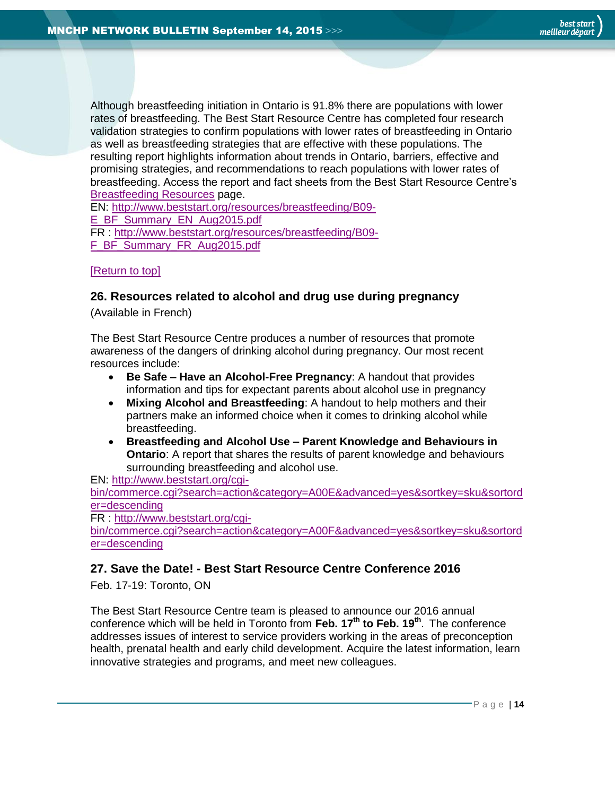Although breastfeeding initiation in Ontario is 91.8% there are populations with lower rates of breastfeeding. The Best Start Resource Centre has completed four research validation strategies to confirm populations with lower rates of breastfeeding in Ontario as well as breastfeeding strategies that are effective with these populations. The resulting report highlights information about trends in Ontario, barriers, effective and promising strategies, and recommendations to reach populations with lower rates of breastfeeding. Access the report and fact sheets from the Best Start Resource Centre's [Breastfeeding Resources](http://www.beststart.org/cgi-bin/commerce.cgi?search=action&category=B00E&advanced=yes&sortkey=sku&sortorder=descending) page.

EN: [http://www.beststart.org/resources/breastfeeding/B09-](http://www.beststart.org/resources/breastfeeding/B09-E_BF_Summary_EN_Aug2015.pdf)

[E\\_BF\\_Summary\\_EN\\_Aug2015.pdf](http://www.beststart.org/resources/breastfeeding/B09-E_BF_Summary_EN_Aug2015.pdf)

FR : [http://www.beststart.org/resources/breastfeeding/B09-](http://www.beststart.org/resources/breastfeeding/B09-F_BF_Summary_FR_Aug2015.pdf) [F\\_BF\\_Summary\\_FR\\_Aug2015.pdf](http://www.beststart.org/resources/breastfeeding/B09-F_BF_Summary_FR_Aug2015.pdf)

#### <span id="page-13-0"></span>[\[Return to top\]](#page-0-0)

# **26. Resources related to alcohol and drug use during pregnancy**

(Available in French)

The Best Start Resource Centre produces a number of resources that promote awareness of the dangers of drinking alcohol during pregnancy. Our most recent resources include:

- **Be Safe – Have an Alcohol-Free Pregnancy**: A handout that provides information and tips for expectant parents about alcohol use in pregnancy
- **Mixing Alcohol and Breastfeeding**: A handout to help mothers and their partners make an informed choice when it comes to drinking alcohol while breastfeeding.
- **Breastfeeding and Alcohol Use – Parent Knowledge and Behaviours in Ontario**: A report that shares the results of parent knowledge and behaviours surrounding breastfeeding and alcohol use.

EN: [http://www.beststart.org/cgi-](http://www.beststart.org/cgi-bin/commerce.cgi?search=action&category=A00E&advanced=yes&sortkey=sku&sortorder=descending)

[bin/commerce.cgi?search=action&category=A00E&advanced=yes&sortkey=sku&sortord](http://www.beststart.org/cgi-bin/commerce.cgi?search=action&category=A00E&advanced=yes&sortkey=sku&sortorder=descending) [er=descending](http://www.beststart.org/cgi-bin/commerce.cgi?search=action&category=A00E&advanced=yes&sortkey=sku&sortorder=descending)

FR : [http://www.beststart.org/cgi-](http://www.beststart.org/cgi-bin/commerce.cgi?search=action&category=A00F&advanced=yes&sortkey=sku&sortorder=descending)

[bin/commerce.cgi?search=action&category=A00F&advanced=yes&sortkey=sku&sortord](http://www.beststart.org/cgi-bin/commerce.cgi?search=action&category=A00F&advanced=yes&sortkey=sku&sortorder=descending) [er=descending](http://www.beststart.org/cgi-bin/commerce.cgi?search=action&category=A00F&advanced=yes&sortkey=sku&sortorder=descending)

# <span id="page-13-1"></span>**27. Save the Date! - Best Start Resource Centre Conference 2016**

Feb. 17-19: Toronto, ON

The Best Start Resource Centre team is pleased to announce our 2016 annual conference which will be held in Toronto from **Feb. 17th to Feb. 19th** . The conference addresses issues of interest to service providers working in the areas of preconception health, prenatal health and early child development. Acquire the latest information, learn innovative strategies and programs, and meet new colleagues.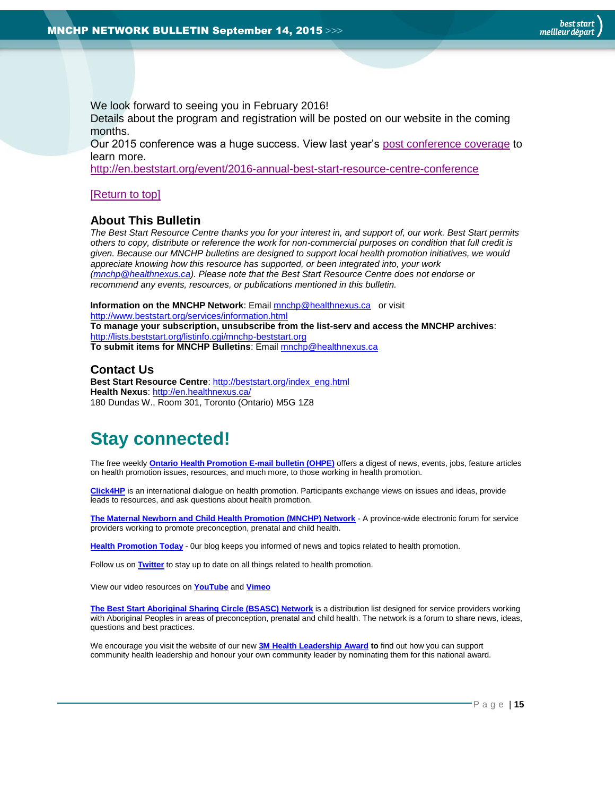We look forward to seeing you in February 2016!

Details about the program and registration will be posted on our website in the coming months.

Our 2015 conference was a huge success. View last year's [post conference coverage](http://en.beststart.org/2015-best-start-resource-centre-annual-conference-overview/) to learn more.

<http://en.beststart.org/event/2016-annual-best-start-resource-centre-conference>

#### [\[Return to top\]](#page-0-0)

# <span id="page-14-0"></span>**About This Bulletin**

*The Best Start Resource Centre thanks you for your interest in, and support of, our work. Best Start permits others to copy, distribute or reference the work for non-commercial purposes on condition that full credit is given. Because our MNCHP bulletins are designed to support local health promotion initiatives, we would appreciate knowing how this resource has supported, or been integrated into, your work [\(mnchp@healthnexus.ca\)](mailto:mnchp@healthnexus.ca). Please note that the Best Start Resource Centre does not endorse or recommend any events, resources, or publications mentioned in this bulletin.* 

**Information on the MNCHP Network**: Emai[l mnchp@healthnexus.ca](mailto:mnchp@healthnexus.ca) or visit <http://www.beststart.org/services/information.html> **To manage your subscription, unsubscribe from the list-serv and access the MNCHP archives**: <http://lists.beststart.org/listinfo.cgi/mnchp-beststart.org> **To submit items for MNCHP Bulletins**: Emai[l mnchp@healthnexus.ca](mailto:mnchp@healthnexus.ca)

**Contact Us**

**Best Start Resource Centre: [http://beststart.org/index\\_eng.html](http://beststart.org/index_eng.html) Health Nexus**:<http://en.healthnexus.ca/> 180 Dundas W., Room 301, Toronto (Ontario) M5G 1Z8

# **Stay connected!**

The free weekly **[Ontario Health Promotion E-mail bulletin \(OHPE\)](http://www.ohpe.ca/)** offers a digest of news, events, jobs, feature articles on health promotion issues, resources, and much more, to those working in health promotion.

**[Click4HP](https://listserv.yorku.ca/archives/click4hp.html)** is an international dialogue on health promotion. Participants exchange views on issues and ideas, provide leads to resources, and ask questions about health promotion.

**[The Maternal Newborn and Child Health Promotion \(MNCHP\) Network](http://www.beststart.org/services/MNCHP.html) -** A province-wide electronic forum for service providers working to promote preconception, prenatal and child health.

**[Health Promotion Today](http://en.healthnexus.ca/)** - 0ur blog keeps you informed of news and topics related to health promotion.

Follow us on **[Twitter](https://twitter.com/Health_Nexus)** to stay up to date on all things related to health promotion.

View our video resources on **[YouTube](http://www.youtube.com/user/healthnexussante)** and **[Vimeo](https://vimeo.com/user9493317)**

**The Best [Start Aboriginal Sharing Circle \(BSASC\) Network](http://lists.beststart.org/listinfo.cgi/bsasc-beststart.org)** is a distribution list designed for service providers working with Aboriginal Peoples in areas of preconception, prenatal and child health. The network is a forum to share news, ideas, questions and best practices.

We encourage you visit the website of our new **[3M Health Leadership Award](http://www.healthnexus.ca/leadershipaward) to** find out how you can support community health leadership and honour your own community leader by nominating them for this national award.